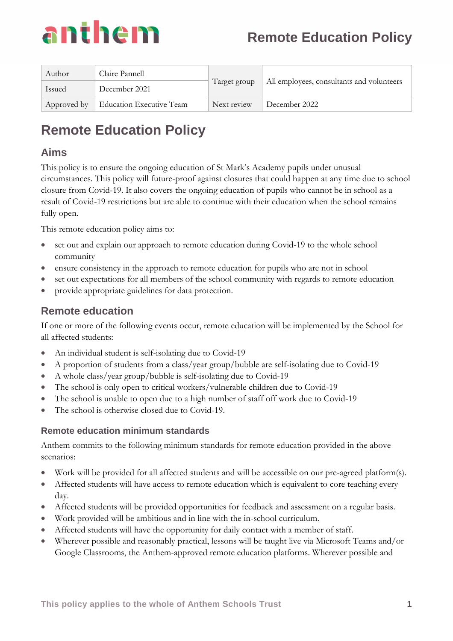

| Author      | Claire Pannell                  | Target group | All employees, consultants and volunteers |
|-------------|---------------------------------|--------------|-------------------------------------------|
| Issued      | December 2021                   |              |                                           |
| Approved by | <b>Education Executive Team</b> | Next review  | December 2022                             |

### **Aims**

This policy is to ensure the ongoing education of St Mark's Academy pupils under unusual circumstances. This policy will future-proof against closures that could happen at any time due to school closure from Covid-19. It also covers the ongoing education of pupils who cannot be in school as a result of Covid-19 restrictions but are able to continue with their education when the school remains fully open.

This remote education policy aims to:

- set out and explain our approach to remote education during Covid-19 to the whole school community
- ensure consistency in the approach to remote education for pupils who are not in school
- set out expectations for all members of the school community with regards to remote education
- provide appropriate guidelines for data protection.

## **Remote education**

If one or more of the following events occur, remote education will be implemented by the School for all affected students:

- An individual student is self-isolating due to Covid-19
- A proportion of students from a class/year group/bubble are self-isolating due to Covid-19
- A whole class/year group/bubble is self-isolating due to Covid-19
- The school is only open to critical workers/vulnerable children due to Covid-19
- The school is unable to open due to a high number of staff off work due to Covid-19
- The school is otherwise closed due to Covid-19.

#### **Remote education minimum standards**

Anthem commits to the following minimum standards for remote education provided in the above scenarios:

- Work will be provided for all affected students and will be accessible on our pre-agreed platform(s).
- Affected students will have access to remote education which is equivalent to core teaching every day.
- Affected students will be provided opportunities for feedback and assessment on a regular basis.
- Work provided will be ambitious and in line with the in-school curriculum.
- Affected students will have the opportunity for daily contact with a member of staff.
- Wherever possible and reasonably practical, lessons will be taught live via Microsoft Teams and/or Google Classrooms, the Anthem-approved remote education platforms. Wherever possible and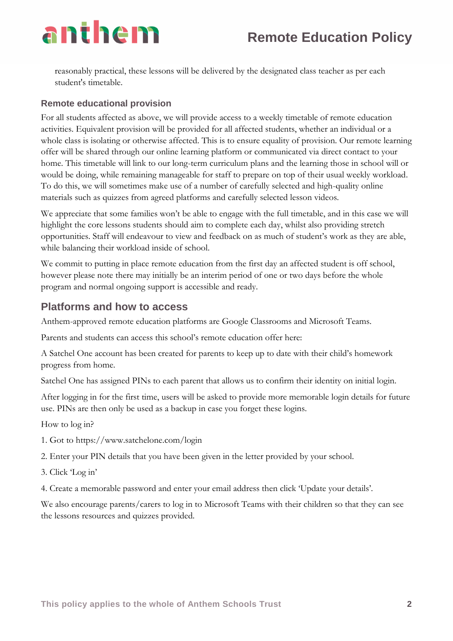reasonably practical, these lessons will be delivered by the designated class teacher as per each student's timetable.

#### **Remote educational provision**

For all students affected as above, we will provide access to a weekly timetable of remote education activities. Equivalent provision will be provided for all affected students, whether an individual or a whole class is isolating or otherwise affected. This is to ensure equality of provision. Our remote learning offer will be shared through our online learning platform or communicated via direct contact to your home. This timetable will link to our long-term curriculum plans and the learning those in school will or would be doing, while remaining manageable for staff to prepare on top of their usual weekly workload. To do this, we will sometimes make use of a number of carefully selected and high-quality online materials such as quizzes from agreed platforms and carefully selected lesson videos.

We appreciate that some families won't be able to engage with the full timetable, and in this case we will highlight the core lessons students should aim to complete each day, whilst also providing stretch opportunities. Staff will endeavour to view and feedback on as much of student's work as they are able, while balancing their workload inside of school.

We commit to putting in place remote education from the first day an affected student is off school, however please note there may initially be an interim period of one or two days before the whole program and normal ongoing support is accessible and ready.

### **Platforms and how to access**

Anthem-approved remote education platforms are Google Classrooms and Microsoft Teams.

Parents and students can access this school's remote education offer here:

A Satchel One account has been created for parents to keep up to date with their child's homework progress from home.

Satchel One has assigned PINs to each parent that allows us to confirm their identity on initial login.

After logging in for the first time, users will be asked to provide more memorable login details for future use. PINs are then only be used as a backup in case you forget these logins.

How to log in?

- 1. Got to https://www.satchelone.com/login
- 2. Enter your PIN details that you have been given in the letter provided by your school.
- 3. Click 'Log in'
- 4. Create a memorable password and enter your email address then click 'Update your details'.

We also encourage parents/carers to log in to Microsoft Teams with their children so that they can see the lessons resources and quizzes provided.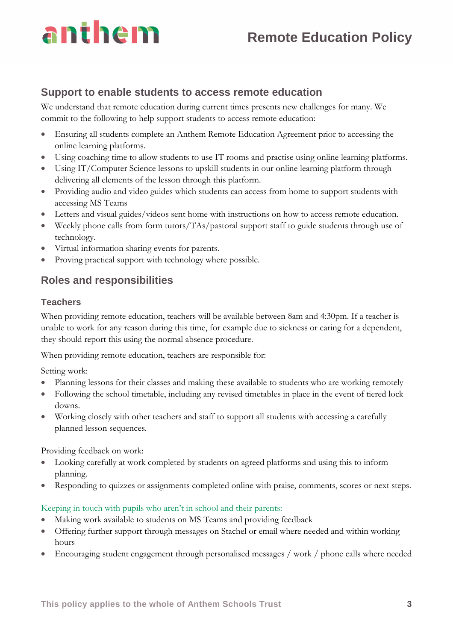# anthem

## **Support to enable students to access remote education**

We understand that remote education during current times presents new challenges for many. We commit to the following to help support students to access remote education:

- Ensuring all students complete an Anthem Remote Education Agreement prior to accessing the online learning platforms.
- Using coaching time to allow students to use IT rooms and practise using online learning platforms.
- Using IT/Computer Science lessons to upskill students in our online learning platform through delivering all elements of the lesson through this platform.
- Providing audio and video guides which students can access from home to support students with accessing MS Teams
- Letters and visual guides/videos sent home with instructions on how to access remote education.
- Weekly phone calls from form tutors/TAs/pastoral support staff to guide students through use of technology.
- Virtual information sharing events for parents.
- Proving practical support with technology where possible.

## **Roles and responsibilities**

## **Teachers**

When providing remote education, teachers will be available between 8am and 4:30pm. If a teacher is unable to work for any reason during this time, for example due to sickness or caring for a dependent, they should report this using the normal absence procedure.

When providing remote education, teachers are responsible for:

Setting work:

- Planning lessons for their classes and making these available to students who are working remotely
- Following the school timetable, including any revised timetables in place in the event of tiered lock downs.
- Working closely with other teachers and staff to support all students with accessing a carefully planned lesson sequences.

Providing feedback on work:

- Looking carefully at work completed by students on agreed platforms and using this to inform planning.
- Responding to quizzes or assignments completed online with praise, comments, scores or next steps.

### Keeping in touch with pupils who aren't in school and their parents:

- Making work available to students on MS Teams and providing feedback
- Offering further support through messages on Stachel or email where needed and within working hours
- Encouraging student engagement through personalised messages / work / phone calls where needed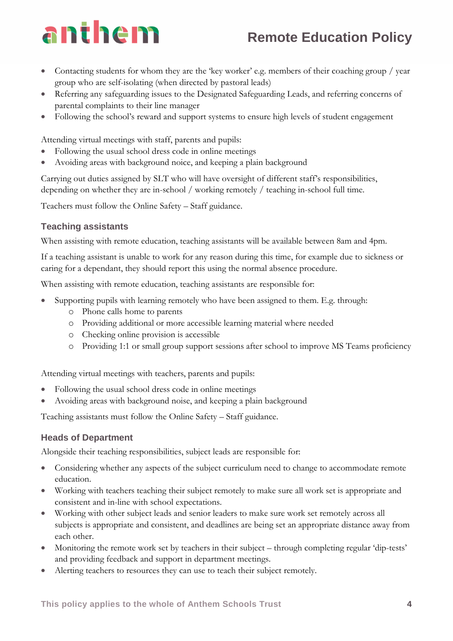## **Remote Education Policy**

- Contacting students for whom they are the 'key worker' e.g. members of their coaching group / year group who are self-isolating (when directed by pastoral leads)
- Referring any safeguarding issues to the Designated Safeguarding Leads, and referring concerns of parental complaints to their line manager
- Following the school's reward and support systems to ensure high levels of student engagement

Attending virtual meetings with staff, parents and pupils:

- Following the usual school dress code in online meetings
- Avoiding areas with background noice, and keeping a plain background

Carrying out duties assigned by SLT who will have oversight of different staff's responsibilities, depending on whether they are in-school / working remotely / teaching in-school full time.

Teachers must follow the Online Safety – Staff guidance.

#### **Teaching assistants**

When assisting with remote education, teaching assistants will be available between 8am and 4pm.

If a teaching assistant is unable to work for any reason during this time, for example due to sickness or caring for a dependant, they should report this using the normal absence procedure.

When assisting with remote education, teaching assistants are responsible for:

- Supporting pupils with learning remotely who have been assigned to them. E.g. through:
	- o Phone calls home to parents
	- o Providing additional or more accessible learning material where needed
	- o Checking online provision is accessible
	- o Providing 1:1 or small group support sessions after school to improve MS Teams proficiency

Attending virtual meetings with teachers, parents and pupils:

- Following the usual school dress code in online meetings
- Avoiding areas with background noise, and keeping a plain background

Teaching assistants must follow the Online Safety – Staff guidance.

#### **Heads of Department**

Alongside their teaching responsibilities, subject leads are responsible for:

- Considering whether any aspects of the subject curriculum need to change to accommodate remote education.
- Working with teachers teaching their subject remotely to make sure all work set is appropriate and consistent and in-line with school expectations.
- Working with other subject leads and senior leaders to make sure work set remotely across all subjects is appropriate and consistent, and deadlines are being set an appropriate distance away from each other.
- Monitoring the remote work set by teachers in their subject through completing regular 'dip-tests' and providing feedback and support in department meetings.
- Alerting teachers to resources they can use to teach their subject remotely.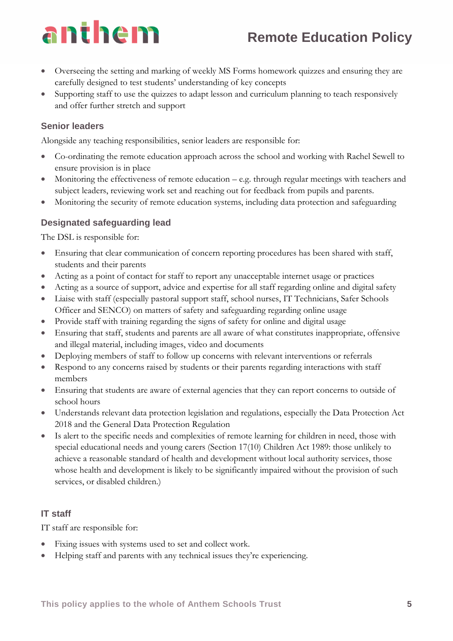## **Remote Education Policy**

- Overseeing the setting and marking of weekly MS Forms homework quizzes and ensuring they are carefully designed to test students' understanding of key concepts
- Supporting staff to use the quizzes to adapt lesson and curriculum planning to teach responsively and offer further stretch and support

#### **Senior leaders**

Alongside any teaching responsibilities, senior leaders are responsible for:

- Co-ordinating the remote education approach across the school and working with Rachel Sewell to ensure provision is in place
- Monitoring the effectiveness of remote education e.g. through regular meetings with teachers and subject leaders, reviewing work set and reaching out for feedback from pupils and parents.
- Monitoring the security of remote education systems, including data protection and safeguarding

### **Designated safeguarding lead**

The DSL is responsible for:

- Ensuring that clear communication of concern reporting procedures has been shared with staff, students and their parents
- Acting as a point of contact for staff to report any unacceptable internet usage or practices
- Acting as a source of support, advice and expertise for all staff regarding online and digital safety
- Liaise with staff (especially pastoral support staff, school nurses, IT Technicians, Safer Schools Officer and SENCO) on matters of safety and safeguarding regarding online usage
- Provide staff with training regarding the signs of safety for online and digital usage
- Ensuring that staff, students and parents are all aware of what constitutes inappropriate, offensive and illegal material, including images, video and documents
- Deploying members of staff to follow up concerns with relevant interventions or referrals
- Respond to any concerns raised by students or their parents regarding interactions with staff members
- Ensuring that students are aware of external agencies that they can report concerns to outside of school hours
- Understands relevant data protection legislation and regulations, especially the Data Protection Act 2018 and the General Data Protection Regulation
- Is alert to the specific needs and complexities of remote learning for children in need, those with special educational needs and young carers (Section 17(10) Children Act 1989: those unlikely to achieve a reasonable standard of health and development without local authority services, those whose health and development is likely to be significantly impaired without the provision of such services, or disabled children.)

#### **IT staff**

IT staff are responsible for:

- Fixing issues with systems used to set and collect work.
- Helping staff and parents with any technical issues they're experiencing.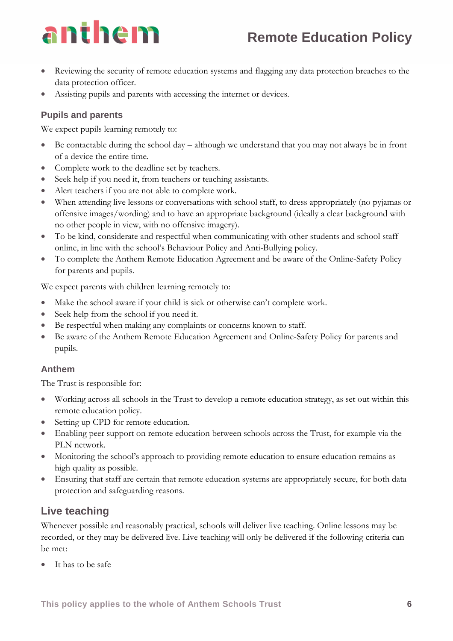# anthem

- Reviewing the security of remote education systems and flagging any data protection breaches to the data protection officer.
- Assisting pupils and parents with accessing the internet or devices.

### **Pupils and parents**

We expect pupils learning remotely to:

- Be contactable during the school day  $-$  although we understand that you may not always be in front of a device the entire time.
- Complete work to the deadline set by teachers.
- Seek help if you need it, from teachers or teaching assistants.
- Alert teachers if you are not able to complete work.
- When attending live lessons or conversations with school staff, to dress appropriately (no pyjamas or offensive images/wording) and to have an appropriate background (ideally a clear background with no other people in view, with no offensive imagery).
- To be kind, considerate and respectful when communicating with other students and school staff online, in line with the school's Behaviour Policy and Anti-Bullying policy.
- To complete the Anthem Remote Education Agreement and be aware of the Online-Safety Policy for parents and pupils.

We expect parents with children learning remotely to:

- Make the school aware if your child is sick or otherwise can't complete work.
- Seek help from the school if you need it.
- Be respectful when making any complaints or concerns known to staff.
- Be aware of the Anthem Remote Education Agreement and Online-Safety Policy for parents and pupils.

#### **Anthem**

The Trust is responsible for:

- Working across all schools in the Trust to develop a remote education strategy, as set out within this remote education policy.
- Setting up CPD for remote education.
- Enabling peer support on remote education between schools across the Trust, for example via the PLN network.
- Monitoring the school's approach to providing remote education to ensure education remains as high quality as possible.
- Ensuring that staff are certain that remote education systems are appropriately secure, for both data protection and safeguarding reasons.

## **Live teaching**

Whenever possible and reasonably practical, schools will deliver live teaching. Online lessons may be recorded, or they may be delivered live. Live teaching will only be delivered if the following criteria can be met:

It has to be safe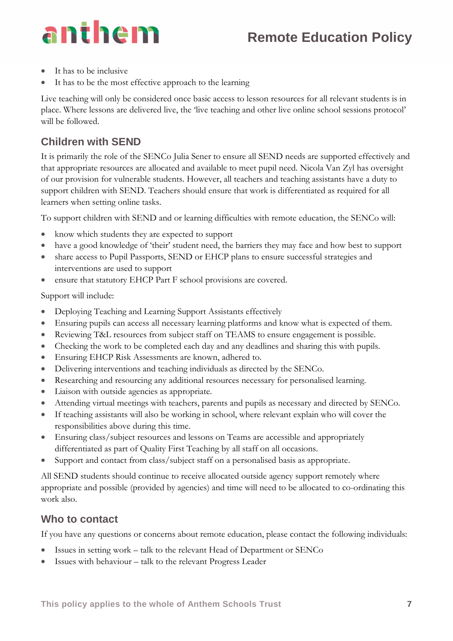# anthem

- It has to be inclusive
- It has to be the most effective approach to the learning

Live teaching will only be considered once basic access to lesson resources for all relevant students is in place. Where lessons are delivered live, the 'live teaching and other live online school sessions protocol' will be followed.

## **Children with SEND**

It is primarily the role of the SENCo Julia Sener to ensure all SEND needs are supported effectively and that appropriate resources are allocated and available to meet pupil need. Nicola Van Zyl has oversight of our provision for vulnerable students. However, all teachers and teaching assistants have a duty to support children with SEND. Teachers should ensure that work is differentiated as required for all learners when setting online tasks.

To support children with SEND and or learning difficulties with remote education, the SENCo will:

- know which students they are expected to support
- have a good knowledge of 'their' student need, the barriers they may face and how best to support
- share access to Pupil Passports, SEND or EHCP plans to ensure successful strategies and interventions are used to support
- ensure that statutory EHCP Part F school provisions are covered.

Support will include:

- Deploying Teaching and Learning Support Assistants effectively
- Ensuring pupils can access all necessary learning platforms and know what is expected of them.
- Reviewing T&L resources from subject staff on TEAMS to ensure engagement is possible.
- Checking the work to be completed each day and any deadlines and sharing this with pupils.
- Ensuring EHCP Risk Assessments are known, adhered to.
- Delivering interventions and teaching individuals as directed by the SENCo.
- Researching and resourcing any additional resources necessary for personalised learning.
- Liaison with outside agencies as appropriate.
- Attending virtual meetings with teachers, parents and pupils as necessary and directed by SENCo.
- If teaching assistants will also be working in school, where relevant explain who will cover the responsibilities above during this time.
- Ensuring class/subject resources and lessons on Teams are accessible and appropriately differentiated as part of Quality First Teaching by all staff on all occasions.
- Support and contact from class/subject staff on a personalised basis as appropriate.

All SEND students should continue to receive allocated outside agency support remotely where appropriate and possible (provided by agencies) and time will need to be allocated to co-ordinating this work also.

## **Who to contact**

If you have any questions or concerns about remote education, please contact the following individuals:

- Issues in setting work talk to the relevant Head of Department or SENCo
- Issues with behaviour talk to the relevant Progress Leader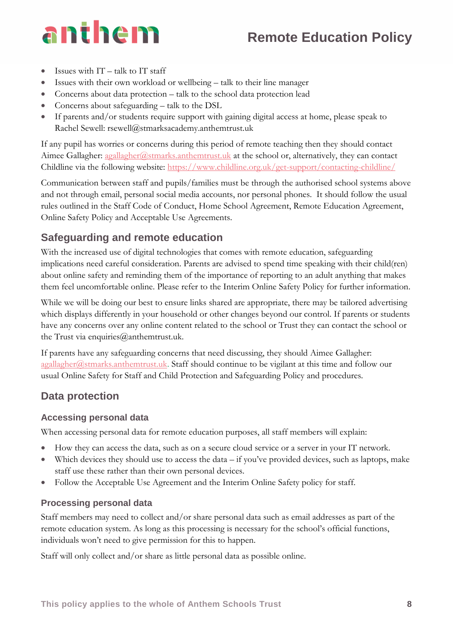- Issues with  $IT talk$  to IT staff
- Issues with their own workload or wellbeing talk to their line manager
- Concerns about data protection talk to the school data protection lead
- Concerns about safeguarding talk to the DSL
- If parents and/or students require support with gaining digital access at home, please speak to Rachel Sewell: rsewell@stmarksacademy.anthemtrust.uk

If any pupil has worries or concerns during this period of remote teaching then they should contact Aimee Gallagher: [agallagher@stmarks.anthemtrust.uk](mailto:agallagher@stmarks.anthemtrust.uk) at the school or, alternatively, they can contact Childline via the following website:<https://www.childline.org.uk/get-support/contacting-childline/>

Communication between staff and pupils/families must be through the authorised school systems above and not through email, personal social media accounts, nor personal phones. It should follow the usual rules outlined in the Staff Code of Conduct, Home School Agreement, Remote Education Agreement, Online Safety Policy and Acceptable Use Agreements.

## **Safeguarding and remote education**

With the increased use of digital technologies that comes with remote education, safeguarding implications need careful consideration. Parents are advised to spend time speaking with their child(ren) about online safety and reminding them of the importance of reporting to an adult anything that makes them feel uncomfortable online. Please refer to the Interim Online Safety Policy for further information.

While we will be doing our best to ensure links shared are appropriate, there may be tailored advertising which displays differently in your household or other changes beyond our control. If parents or students have any concerns over any online content related to the school or Trust they can contact the school or the Trust via enquiries $@$ anthemtrust.uk.

If parents have any safeguarding concerns that need discussing, they should Aimee Gallagher: [agallagher@stmarks.anthemtrust.uk.](mailto:agallagher@stmarks.anthemtrust.uk) Staff should continue to be vigilant at this time and follow our usual Online Safety for Staff and Child Protection and Safeguarding Policy and procedures.

## **Data protection**

### **Accessing personal data**

When accessing personal data for remote education purposes, all staff members will explain:

- How they can access the data, such as on a secure cloud service or a server in your IT network.
- Which devices they should use to access the data if you've provided devices, such as laptops, make staff use these rather than their own personal devices.
- Follow the Acceptable Use Agreement and the Interim Online Safety policy for staff.

### **Processing personal data**

Staff members may need to collect and/or share personal data such as email addresses as part of the remote education system. As long as this processing is necessary for the school's official functions, individuals won't need to give permission for this to happen.

Staff will only collect and/or share as little personal data as possible online.